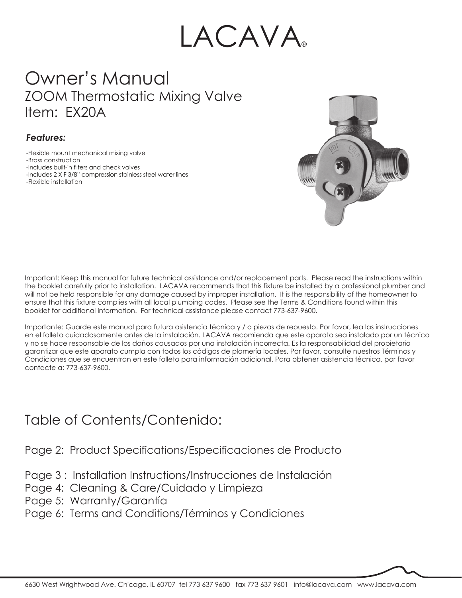# LACAVA

# Owner's Manual ZOOM Thermostatic Mixing Valve Item: EX20A

### *Features:*

-Flexible mount mechanical mixing valve -Brass construction -Includes built-in filters and check valves -Includes 2 X F 3/8" compression stainless steel water lines -Flexible installation



Important: Keep this manual for future technical assistance and/or replacement parts. Please read the instructions within the booklet carefully prior to installation. LACAVA recommends that this fixture be installed by a professional plumber and will not be held responsible for any damage caused by improper installation. It is the responsibility of the homeowner to ensure that this fixture complies with all local plumbing codes. Please see the Terms & Conditions found within this booklet for additional information. For technical assistance please contact 773-637-9600.

Importante: Guarde este manual para futura asistencia técnica y / o piezas de repuesto. Por favor, lea las instrucciones en el folleto cuidadosamente antes de la instalación. LACAVA recomienda que este aparato sea instalado por un técnico y no se hace responsable de los daños causados por una instalación incorrecta. Es la responsabilidad del propietario garantizar que este aparato cumpla con todos los códigos de plomería locales. Por favor, consulte nuestros Términos y Condiciones que se encuentran en este folleto para información adicional. Para obtener asistencia técnica, por favor contacte a: 773-637-9600.

### Table of Contents/Contenido:

Page 2: Product Specifications/Especificaciones de Producto

- Page 3 : Installation Instructions/Instrucciones de Instalación
- Page 4: Cleaning & Care/Cuidado y Limpieza
- Page 5: Warranty/Garantía
- Page 6: Terms and Conditions/Términos y Condiciones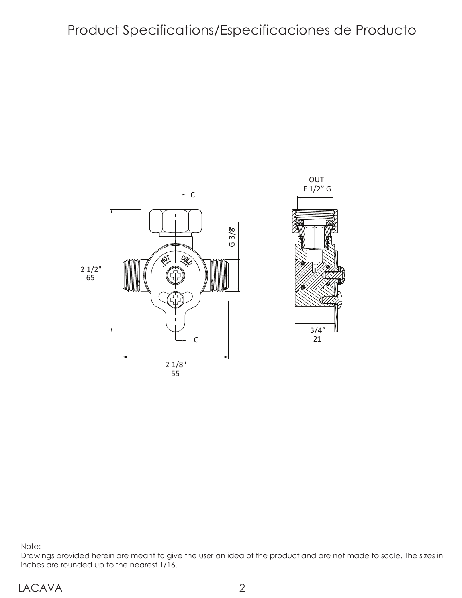### Product Specifications/Especificaciones de Producto



Note:

Drawings provided herein are meant to give the user an idea of the product and are not made to scale. The sizes in inches are rounded up to the nearest 1/16.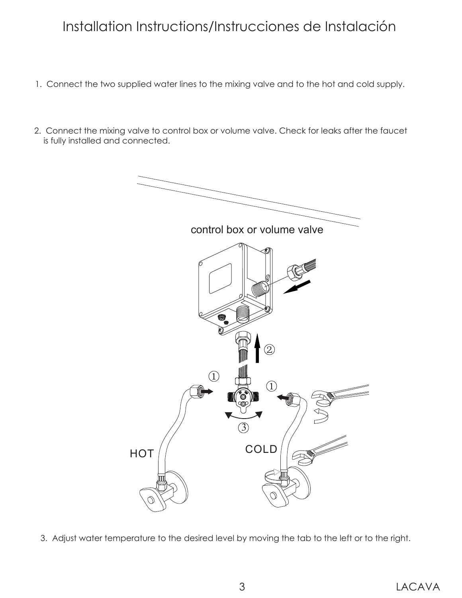# Installation Instructions/Instrucciones de Instalación

- 1. Connect the two supplied water lines to the mixing valve and to the hot and cold supply.
- 2. Connect the mixing valve to control box or volume valve. Check for leaks after the faucet is fully installed and connected.



3. Adjust water temperature to the desired level by moving the tab to the left or to the right.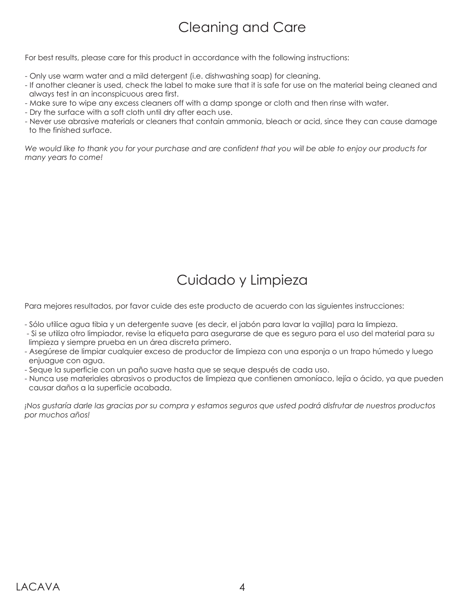# Cleaning and Care

For best results, please care for this product in accordance with the following instructions:

- Only use warm water and a mild detergent (i.e. dishwashing soap) for cleaning.
- If another cleaner is used, check the label to make sure that it is safe for use on the material being cleaned and always test in an inconspicuous area first.
- Make sure to wipe any excess cleaners off with a damp sponge or cloth and then rinse with water.
- Dry the surface with a soft cloth until dry after each use.
- Never use abrasive materials or cleaners that contain ammonia, bleach or acid, since they can cause damage to the finished surface.

*We would like to thank you for your purchase and are confident that you will be able to enjoy our products for many years to come!*

# Cuidado y Limpieza

Para mejores resultados, por favor cuide des este producto de acuerdo con las siguientes instrucciones:

- Sólo utilice agua tibia y un detergente suave (es decir, el jabón para lavar la vajilla) para la limpieza.
- Si se utiliza otro limpiador, revise la etiqueta para asegurarse de que es seguro para el uso del material para su limpieza y siempre prueba en un área discreta primero.
- Asegúrese de limpiar cualquier exceso de productor de limpieza con una esponja o un trapo húmedo y luego enjuague con agua.
- Seque la superficie con un paño suave hasta que se seque después de cada uso.
- Nunca use materiales abrasivos o productos de limpieza que contienen amoníaco, lejía o ácido, ya que pueden causar daños a la superficie acabada.

*¡Nos gustaría darle las gracias por su compra y estamos seguros que usted podrá disfrutar de nuestros productos por muchos años!*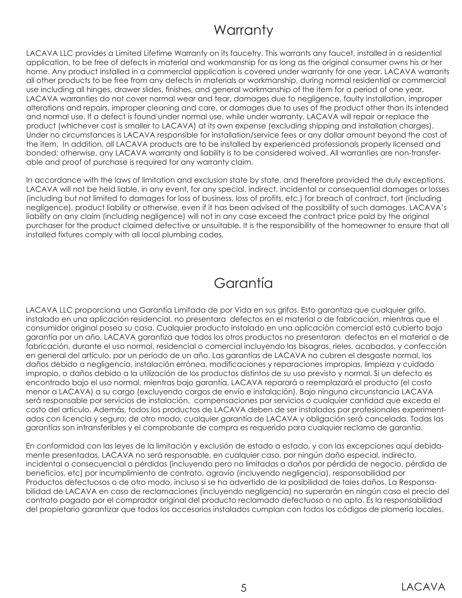### **Warranty**

LACAVA LLC provides a Limited Lifetime Warranty on its faucetry. This warrants any faucet, installed in a residential application, to be free of defects in material and workmanship for as long as the original consumer owns his or her home. Any product installed in a commercial application is covered under warranty for one year. LACAVA warrants all other products to be free from any defects in materials or workmanship, during normal residential or commercial use including all hinges, drawer slides, finishes, and general workmanship of the item for a period of one year. LACAVA warranties do not cover normal wear and tear, damages due to negligence, faulty installation, improper alterations and repairs, improper cleaning and care, or damages due to uses of the product other than its intended and normal use. If a defect is found under normal use, while under warranty, LACAVA will repair or replace the product (whichever cost is smaller to LACAVA) at its own expense (excluding shipping and installation charges). Under no circumstances is LACAVA responsible for installation/service fees or any dollar amount beyond the cost of the item. In addition, all LACAVA products are to be installed by experienced professionals properly licensed and bonded; otherwise, any LACAVA warranty and liability is to be considered waived. All warranties are non-transferable and proof of purchase is required for any warranty claim.

In accordance with the laws of limitation and exclusion state by state, and therefore provided the duly exceptions, LACAVA will not be held liable, in any event, for any special, indirect, incidental or consequential damages or losses (including but not limited to damages for loss of business, loss of profits, etc.) for breach of contract, tort (including negligence), product liability or otherwise, even if it has been advised of the possibility of such damages. LACAVA's liability on any claim (including negligence) will not in any case exceed the contract price paid by the original purchaser for the product claimed defective or unsuitable. It is the responsibility of the homeowner to ensure that all installed fixtures comply with all local plumbing codes.

### Garantía

LACAVA LLC proporciona una Garantía Limitada de por Vida en sus grifos. Esto garantiza que cualquier grifo, instalado en una aplicación residencial, no presentara defectos en el material o de fabricación, mientras que el consumidor original posea su casa. Cualquier producto instalado en una aplicación comercial está cubierto bajo garantía por un año. LACAVA garantiza que todos los otros productos no presentaran defectos en el material o de fabricación, durante el uso normal, residencial o comercial incluyendo las bisagras, rieles, acabados, y confección en general del artículo, por un período de un año. Las garantías de LACAVA no cubren el desgaste normal, los daños debido a negligencia, instalación errónea, modificaciones y reparaciones impropias, limpieza y cuidado impropio, o daños debido a la utilización de los productos distintos de su uso previsto y normal. Si un defecto es encontrado bajo el uso normal, mientras bajo garantía, LACAVA reparará o reemplazará el producto (el costo menor a LACAVA) a su cargo (excluyendo cargos de envío e instalación). Bajo ninguna circunstancia LACAVA será responsable por servicios de instalación, compensaciones por servicios o cualquier cantidad que exceda el costo del artículo. Además, todos los productos de LACAVA deben de ser instalados por profesionales experimentados con licencia y seguro; de otro modo, cualquier garantía de LACAVA y obligación será cancelada. Todas las garantías son intransferibles y el comprobante de compra es requerido para cualquier reclamo de garantía.

En conformidad con las leyes de la limitación y exclusión de estado a estado, y con las excepciones aquí debidamente presentadas, LACAVA no será responsable, en cualquier caso, por ningún daño especial, indirecto, incidental o consecuencial o pérdidas (incluyendo pero no limitadas a daños por pérdida de negocio, pérdida de beneficios, etc) por incumplimiento de contrato, agravio (incluyendo negligencia), responsabilidad por Productos defectuosos o de otro modo, incluso si se ha advertido de la posibilidad de tales daños. La Responsabilidad de LACAVA en caso de reclamaciones (incluyendo negligencia) no superarán en ningún caso el precio del contrato pagado por el comprador original del producto reclamado defectuoso o no apto. Es la responsabilidad del propietario garantizar que todos los accesorios instalados cumplan con todos los códigos de plomería locales.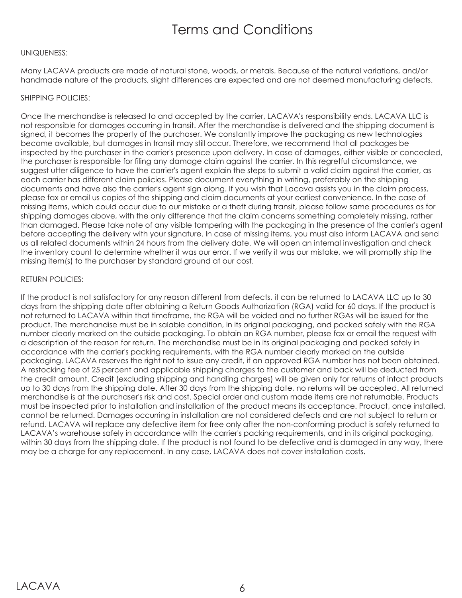### Terms and Conditions

#### UNIQUENESS:

Many LACAVA products are made of natural stone, woods, or metals. Because of the natural variations, and/or handmade nature of the products, slight differences are expected and are not deemed manufacturing defects.

#### SHIPPING POLICIES:

Once the merchandise is released to and accepted by the carrier, LACAVA's responsibility ends. LACAVA LLC is not responsible for damages occurring in transit. After the merchandise is delivered and the shipping document is signed, it becomes the property of the purchaser. We constantly improve the packaging as new technologies become available, but damages in transit may still occur. Therefore, we recommend that all packages be inspected by the purchaser in the carrier's presence upon delivery. In case of damages, either visible or concealed, the purchaser is responsible for filing any damage claim against the carrier. In this regretful circumstance, we suggest utter diligence to have the carrier's agent explain the steps to submit a valid claim against the carrier, as each carrier has different claim policies. Please document everything in writing, preferably on the shipping documents and have also the carrier's agent sign along. If you wish that Lacava assists you in the claim process, please fax or email us copies of the shipping and claim documents at your earliest convenience. In the case of missing items, which could occur due to our mistake or a theft during transit, please follow same procedures as for shipping damages above, with the only difference that the claim concerns something completely missing, rather than damaged. Please take note of any visible tampering with the packaging in the presence of the carrier's agent before accepting the delivery with your signature. In case of missing items, you must also inform LACAVA and send us all related documents within 24 hours from the delivery date. We will open an internal investigation and check the inventory count to determine whether it was our error. If we verify it was our mistake, we will promptly ship the missing item(s) to the purchaser by standard ground at our cost.

#### RETURN POLICIES:

If the product is not satisfactory for any reason different from defects, it can be returned to LACAVA LLC up to 30 days from the shipping date after obtaining a Return Goods Authorization (RGA) valid for 60 days. If the product is not returned to LACAVA within that timeframe, the RGA will be voided and no further RGAs will be issued for the product. The merchandise must be in salable condition, in its original packaging, and packed safely with the RGA number clearly marked on the outside packaging. To obtain an RGA number, please fax or email the request with a description of the reason for return. The merchandise must be in its original packaging and packed safely in accordance with the carrier's packing requirements, with the RGA number clearly marked on the outside packaging. LACAVA reserves the right not to issue any credit, if an approved RGA number has not been obtained. A restocking fee of 25 percent and applicable shipping charges to the customer and back will be deducted from the credit amount. Credit (excluding shipping and handling charges) will be given only for returns of intact products up to 30 days from the shipping date. After 30 days from the shipping date, no returns will be accepted. All returned merchandise is at the purchaser's risk and cost. Special order and custom made items are not returnable. Products must be inspected prior to installation and installation of the product means its acceptance. Product, once installed, cannot be returned. Damages occurring in installation are not considered defects and are not subject to return or refund. LACAVA will replace any defective item for free only after the non-conforming product is safely returned to LACAVA's warehouse safely in accordance with the carrier's packing requirements, and in its original packaging, within 30 days from the shipping date. If the product is not found to be defective and is damaged in any way, there may be a charge for any replacement. In any case, LACAVA does not cover installation costs.